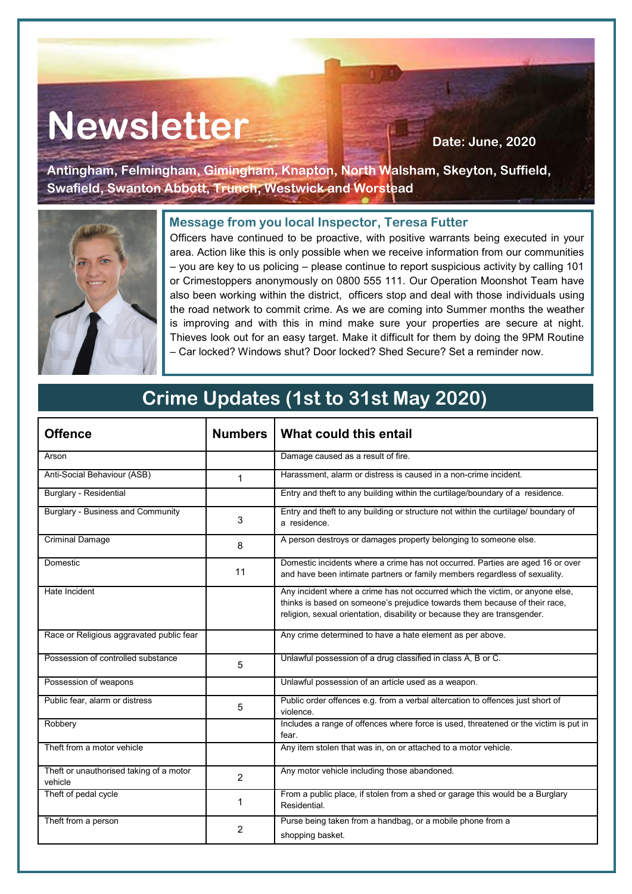# Newsletter **Newsletter**

**Antingham, Felmingham, Gimingham, Knapton, North Walsham, Skeyton, Suffield, Swafield, Swanton Abbott, Trunch, Westwick and Worstead**



## **Message from you local Inspector, Teresa Futter**

Officers have continued to be proactive, with positive warrants being executed in your area. Action like this is only possible when we receive information from our communities – you are key to us policing – please continue to report suspicious activity by calling 101 or Crimestoppers anonymously on 0800 555 111. Our Operation Moonshot Team have also been working within the district, officers stop and deal with those individuals using the road network to commit crime. As we are coming into Summer months the weather is improving and with this in mind make sure your properties are secure at night. Thieves look out for an easy target. Make it difficult for them by doing the 9PM Routine – Car locked? Windows shut? Door locked? Shed Secure? Set a reminder now.

# **Crime Updates (1st to 31st May 2020)**

| <b>Offence</b>                                     | <b>Numbers</b> | What could this entail                                                                                                                                                                                                                   |
|----------------------------------------------------|----------------|------------------------------------------------------------------------------------------------------------------------------------------------------------------------------------------------------------------------------------------|
| Arson                                              |                | Damage caused as a result of fire.                                                                                                                                                                                                       |
| Anti-Social Behaviour (ASB)                        | $\mathbf{1}$   | Harassment, alarm or distress is caused in a non-crime incident.                                                                                                                                                                         |
| <b>Burglary - Residential</b>                      |                | Entry and theft to any building within the curtilage/boundary of a residence.                                                                                                                                                            |
| <b>Burglary - Business and Community</b>           | 3              | Entry and theft to any building or structure not within the curtilage/ boundary of<br>a residence.                                                                                                                                       |
| <b>Criminal Damage</b>                             | 8              | A person destroys or damages property belonging to someone else.                                                                                                                                                                         |
| Domestic                                           | 11             | Domestic incidents where a crime has not occurred. Parties are aged 16 or over<br>and have been intimate partners or family members regardless of sexuality.                                                                             |
| Hate Incident                                      |                | Any incident where a crime has not occurred which the victim, or anyone else,<br>thinks is based on someone's prejudice towards them because of their race,<br>religion, sexual orientation, disability or because they are transgender. |
| Race or Religious aggravated public fear           |                | Any crime determined to have a hate element as per above.                                                                                                                                                                                |
| Possession of controlled substance                 | 5              | Unlawful possession of a drug classified in class A, B or C.                                                                                                                                                                             |
| Possession of weapons                              |                | Unlawful possession of an article used as a weapon.                                                                                                                                                                                      |
| Public fear, alarm or distress                     | 5              | Public order offences e.g. from a verbal altercation to offences just short of<br>violence.                                                                                                                                              |
| Robbery                                            |                | Includes a range of offences where force is used, threatened or the victim is put in<br>fear.                                                                                                                                            |
| Theft from a motor vehicle                         |                | Any item stolen that was in, on or attached to a motor vehicle.                                                                                                                                                                          |
| Theft or unauthorised taking of a motor<br>vehicle | $\mathcal{P}$  | Any motor vehicle including those abandoned.                                                                                                                                                                                             |
| Theft of pedal cycle                               | 1              | From a public place, if stolen from a shed or garage this would be a Burglary<br>Residential.                                                                                                                                            |
| Theft from a person                                | $\overline{2}$ | Purse being taken from a handbag, or a mobile phone from a<br>shopping basket.                                                                                                                                                           |